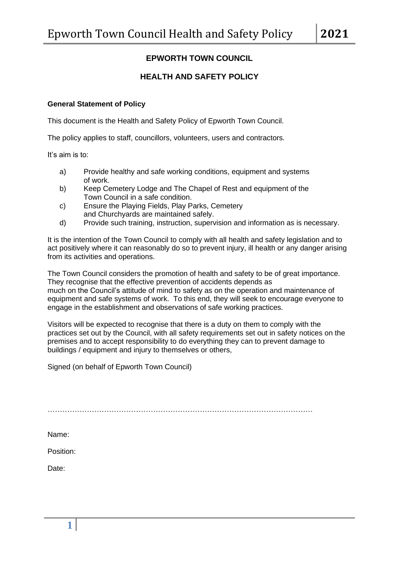# **EPWORTH TOWN COUNCIL**

# **HEALTH AND SAFETY POLICY**

### **General Statement of Policy**

This document is the Health and Safety Policy of Epworth Town Council.

The policy applies to staff, councillors, volunteers, users and contractors.

It's aim is to:

- a) Provide healthy and safe working conditions, equipment and systems of work.
- b) Keep Cemetery Lodge and The Chapel of Rest and equipment of the Town Council in a safe condition.
- c) Ensure the Playing Fields, Play Parks, Cemetery and Churchyards are maintained safely.
- d) Provide such training, instruction, supervision and information as is necessary.

It is the intention of the Town Council to comply with all health and safety legislation and to act positively where it can reasonably do so to prevent injury, ill health or any danger arising from its activities and operations.

The Town Council considers the promotion of health and safety to be of great importance. They recognise that the effective prevention of accidents depends as much on the Council's attitude of mind to safety as on the operation and maintenance of equipment and safe systems of work. To this end, they will seek to encourage everyone to engage in the establishment and observations of safe working practices.

Visitors will be expected to recognise that there is a duty on them to comply with the practices set out by the Council, with all safety requirements set out in safety notices on the premises and to accept responsibility to do everything they can to prevent damage to buildings / equipment and injury to themselves or others,

Signed (on behalf of Epworth Town Council)

………………………………………………………………………………………………

Name:

Position:

Date: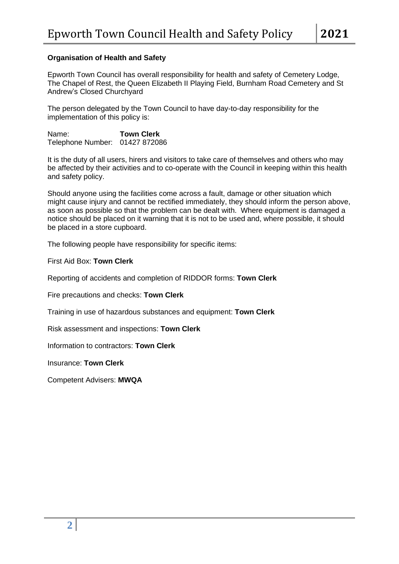## **Organisation of Health and Safety**

Epworth Town Council has overall responsibility for health and safety of Cemetery Lodge, The Chapel of Rest, the Queen Elizabeth II Playing Field, Burnham Road Cemetery and St Andrew's Closed Churchyard

The person delegated by the Town Council to have day-to-day responsibility for the implementation of this policy is:

Name: **Town Clerk** Telephone Number: 01427 872086

It is the duty of all users, hirers and visitors to take care of themselves and others who may be affected by their activities and to co-operate with the Council in keeping within this health and safety policy.

Should anyone using the facilities come across a fault, damage or other situation which might cause injury and cannot be rectified immediately, they should inform the person above, as soon as possible so that the problem can be dealt with. Where equipment is damaged a notice should be placed on it warning that it is not to be used and, where possible, it should be placed in a store cupboard.

The following people have responsibility for specific items:

First Aid Box: **Town Clerk**

Reporting of accidents and completion of RIDDOR forms: **Town Clerk**

Fire precautions and checks: **Town Clerk**

Training in use of hazardous substances and equipment: **Town Clerk**

Risk assessment and inspections: **Town Clerk**

Information to contractors: **Town Clerk**

Insurance: **Town Clerk**

Competent Advisers: **MWQA**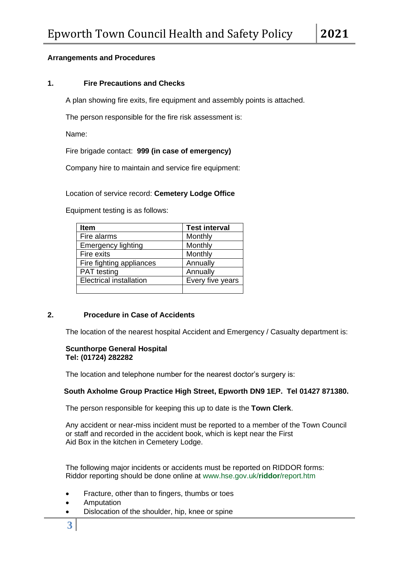## **Arrangements and Procedures**

## **1. Fire Precautions and Checks**

A plan showing fire exits, fire equipment and assembly points is attached.

The person responsible for the fire risk assessment is:

Name:

Fire brigade contact: **999 (in case of emergency)**

Company hire to maintain and service fire equipment:

Location of service record: **Cemetery Lodge Office**

Equipment testing is as follows:

| <b>Item</b>                    | <b>Test interval</b> |
|--------------------------------|----------------------|
| Fire alarms                    | Monthly              |
| <b>Emergency lighting</b>      | Monthly              |
| Fire exits                     | Monthly              |
| Fire fighting appliances       | Annually             |
| <b>PAT</b> testing             | Annually             |
| <b>Electrical installation</b> | Every five years     |
|                                |                      |

# **2. Procedure in Case of Accidents**

The location of the nearest hospital Accident and Emergency / Casualty department is:

#### **Scunthorpe General Hospital Tel: (01724) 282282**

The location and telephone number for the nearest doctor's surgery is:

## **South Axholme Group Practice High Street, Epworth DN9 1EP. Tel 01427 871380.**

The person responsible for keeping this up to date is the **Town Clerk**.

Any accident or near-miss incident must be reported to a member of the Town Council or staff and recorded in the accident book, which is kept near the First Aid Box in the kitchen in Cemetery Lodge.

The following major incidents or accidents must be reported on RIDDOR forms: Riddor reporting should be done online at www.hse.gov.uk/**riddor**/report.htm

- Fracture, other than to fingers, thumbs or toes
- Amputation
- Dislocation of the shoulder, hip, knee or spine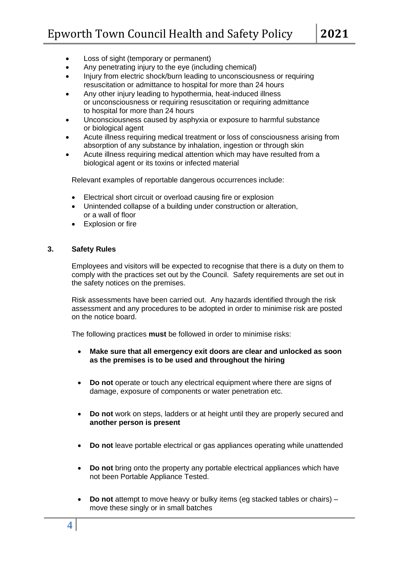- Loss of sight (temporary or permanent)
- Any penetrating injury to the eye (including chemical)
- Injury from electric shock/burn leading to unconsciousness or requiring resuscitation or admittance to hospital for more than 24 hours
- Any other injury leading to hypothermia, heat-induced illness or unconsciousness or requiring resuscitation or requiring admittance to hospital for more than 24 hours
- Unconsciousness caused by asphyxia or exposure to harmful substance or biological agent
- Acute illness requiring medical treatment or loss of consciousness arising from absorption of any substance by inhalation, ingestion or through skin
- Acute illness requiring medical attention which may have resulted from a biological agent or its toxins or infected material

Relevant examples of reportable dangerous occurrences include:

- Electrical short circuit or overload causing fire or explosion
- Unintended collapse of a building under construction or alteration, or a wall of floor
- Explosion or fire

#### **3. Safety Rules**

Employees and visitors will be expected to recognise that there is a duty on them to comply with the practices set out by the Council. Safety requirements are set out in the safety notices on the premises.

Risk assessments have been carried out. Any hazards identified through the risk assessment and any procedures to be adopted in order to minimise risk are posted on the notice board.

The following practices **must** be followed in order to minimise risks:

- **Make sure that all emergency exit doors are clear and unlocked as soon as the premises is to be used and throughout the hiring**
- **Do not** operate or touch any electrical equipment where there are signs of damage, exposure of components or water penetration etc.
- **Do not** work on steps, ladders or at height until they are properly secured and **another person is present**
- **Do not** leave portable electrical or gas appliances operating while unattended
- **Do not** bring onto the property any portable electrical appliances which have not been Portable Appliance Tested.
- **Do not** attempt to move heavy or bulky items (eg stacked tables or chairs) move these singly or in small batches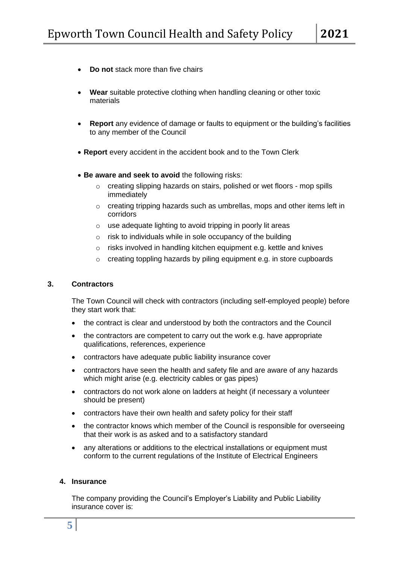- **Do not** stack more than five chairs
- **Wear** suitable protective clothing when handling cleaning or other toxic materials
- **Report** any evidence of damage or faults to equipment or the building's facilities to any member of the Council
- **Report** every accident in the accident book and to the Town Clerk
- **Be aware and seek to avoid** the following risks:
	- o creating slipping hazards on stairs, polished or wet floors mop spills immediately
	- o creating tripping hazards such as umbrellas, mops and other items left in corridors
	- o use adequate lighting to avoid tripping in poorly lit areas
	- $\circ$  risk to individuals while in sole occupancy of the building
	- $\circ$  risks involved in handling kitchen equipment e.g. kettle and knives
	- o creating toppling hazards by piling equipment e.g. in store cupboards

#### **3. Contractors**

The Town Council will check with contractors (including self-employed people) before they start work that:

- the contract is clear and understood by both the contractors and the Council
- the contractors are competent to carry out the work e.g. have appropriate qualifications, references, experience
- contractors have adequate public liability insurance cover
- contractors have seen the health and safety file and are aware of any hazards which might arise (e.g. electricity cables or gas pipes)
- contractors do not work alone on ladders at height (if necessary a volunteer should be present)
- contractors have their own health and safety policy for their staff
- the contractor knows which member of the Council is responsible for overseeing that their work is as asked and to a satisfactory standard
- any alterations or additions to the electrical installations or equipment must conform to the current regulations of the Institute of Electrical Engineers

#### **4. Insurance**

The company providing the Council's Employer's Liability and Public Liability insurance cover is: